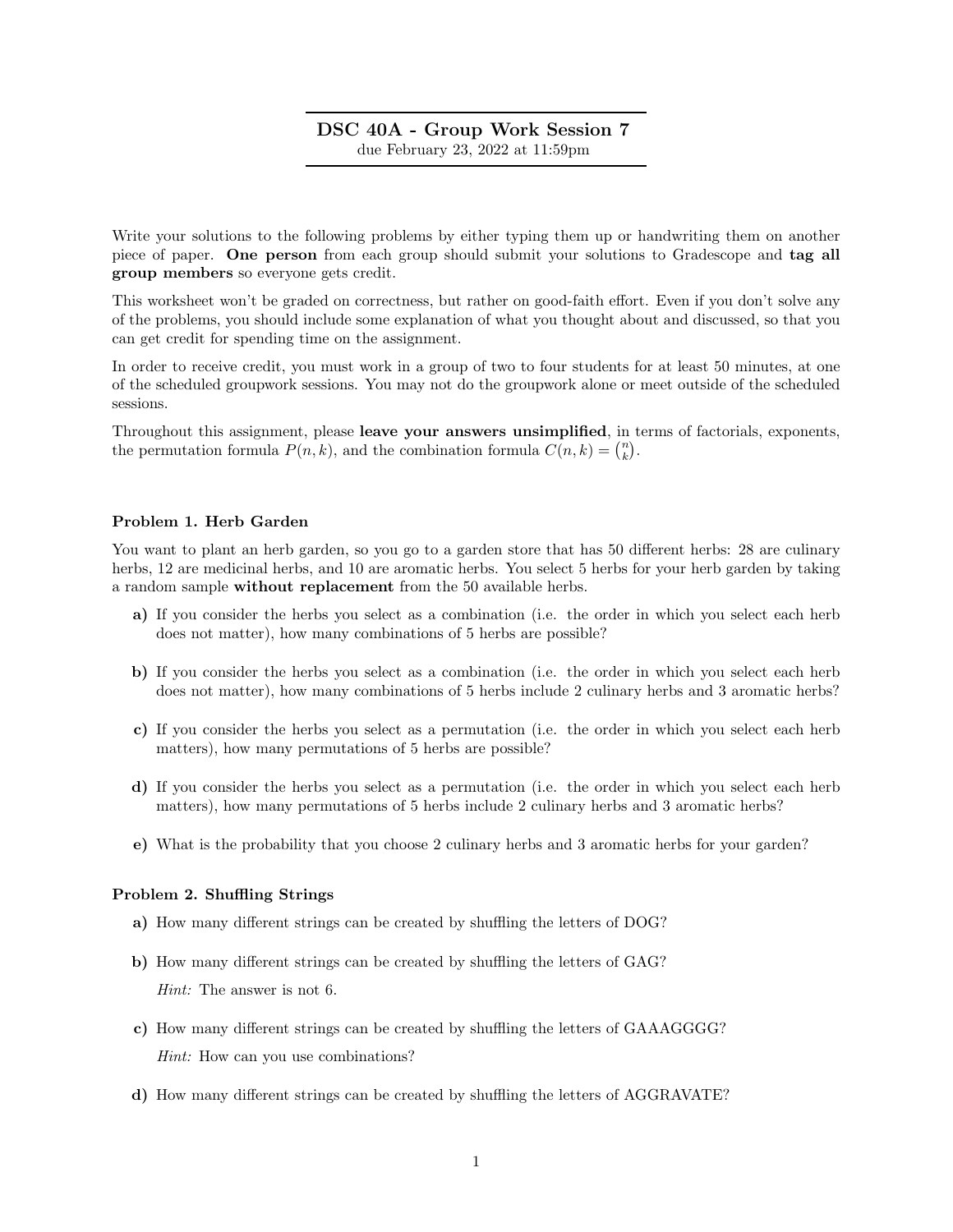## DSC 40A - Group Work Session 7 due February 23, 2022 at 11:59pm

Write your solutions to the following problems by either typing them up or handwriting them on another piece of paper. One person from each group should submit your solutions to Gradescope and tag all group members so everyone gets credit.

This worksheet won't be graded on correctness, but rather on good-faith effort. Even if you don't solve any of the problems, you should include some explanation of what you thought about and discussed, so that you can get credit for spending time on the assignment.

In order to receive credit, you must work in a group of two to four students for at least 50 minutes, at one of the scheduled groupwork sessions. You may not do the groupwork alone or meet outside of the scheduled sessions.

Throughout this assignment, please leave your answers unsimplified, in terms of factorials, exponents, the permutation formula  $P(n, k)$ , and the combination formula  $C(n, k) = \binom{n}{k}$ .

## Problem 1. Herb Garden

You want to plant an herb garden, so you go to a garden store that has 50 different herbs: 28 are culinary herbs, 12 are medicinal herbs, and 10 are aromatic herbs. You select 5 herbs for your herb garden by taking a random sample without replacement from the 50 available herbs.

- a) If you consider the herbs you select as a combination (i.e. the order in which you select each herb does not matter), how many combinations of 5 herbs are possible?
- b) If you consider the herbs you select as a combination (i.e. the order in which you select each herb does not matter), how many combinations of 5 herbs include 2 culinary herbs and 3 aromatic herbs?
- c) If you consider the herbs you select as a permutation (i.e. the order in which you select each herb matters), how many permutations of 5 herbs are possible?
- d) If you consider the herbs you select as a permutation (i.e. the order in which you select each herb matters), how many permutations of 5 herbs include 2 culinary herbs and 3 aromatic herbs?
- e) What is the probability that you choose 2 culinary herbs and 3 aromatic herbs for your garden?

## Problem 2. Shuffling Strings

- a) How many different strings can be created by shuffling the letters of DOG?
- b) How many different strings can be created by shuffling the letters of GAG? Hint: The answer is not 6.
- c) How many different strings can be created by shuffling the letters of GAAAGGGG? Hint: How can you use combinations?
- d) How many different strings can be created by shuffling the letters of AGGRAVATE?